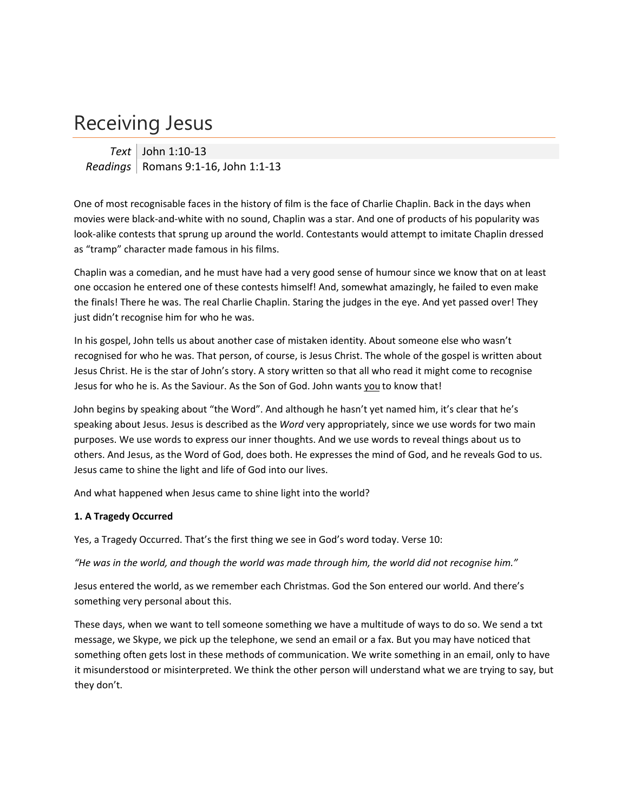## Receiving Jesus

*Text* John 1:10‐13 *Readings* | Romans 9:1-16, John 1:1-13

One of most recognisable faces in the history of film is the face of Charlie Chaplin. Back in the days when movies were black‐and‐white with no sound, Chaplin was a star. And one of products of his popularity was look‐alike contests that sprung up around the world. Contestants would attempt to imitate Chaplin dressed as "tramp" character made famous in his films.

Chaplin was a comedian, and he must have had a very good sense of humour since we know that on at least one occasion he entered one of these contests himself! And, somewhat amazingly, he failed to even make the finals! There he was. The real Charlie Chaplin. Staring the judges in the eye. And yet passed over! They just didn't recognise him for who he was.

In his gospel, John tells us about another case of mistaken identity. About someone else who wasn't recognised for who he was. That person, of course, is Jesus Christ. The whole of the gospel is written about Jesus Christ. He is the star of John's story. A story written so that all who read it might come to recognise Jesus for who he is. As the Saviour. As the Son of God. John wants you to know that!

John begins by speaking about "the Word". And although he hasn't yet named him, it's clear that he's speaking about Jesus. Jesus is described as the *Word* very appropriately, since we use words for two main purposes. We use words to express our inner thoughts. And we use words to reveal things about us to others. And Jesus, as the Word of God, does both. He expresses the mind of God, and he reveals God to us. Jesus came to shine the light and life of God into our lives.

And what happened when Jesus came to shine light into the world?

## **1. A Tragedy Occurred**

Yes, a Tragedy Occurred. That's the first thing we see in God's word today. Verse 10:

"He was in the world, and though the world was made through him, the world did not recognise him."

Jesus entered the world, as we remember each Christmas. God the Son entered our world. And there's something very personal about this.

These days, when we want to tell someone something we have a multitude of ways to do so. We send a txt message, we Skype, we pick up the telephone, we send an email or a fax. But you may have noticed that something often gets lost in these methods of communication. We write something in an email, only to have it misunderstood or misinterpreted. We think the other person will understand what we are trying to say, but they don't.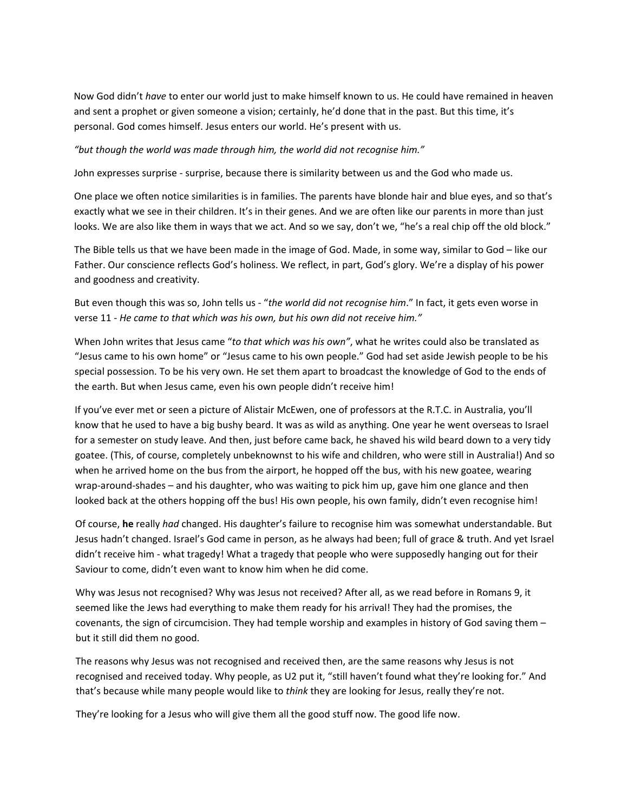Now God didn't *have* to enter our world just to make himself known to us. He could have remained in heaven and sent a prophet or given someone a vision; certainly, he'd done that in the past. But this time, it's personal. God comes himself. Jesus enters our world. He's present with us.

*"but though the world was made through him, the world did not recognise him."*

John expresses surprise ‐ surprise, because there is similarity between us and the God who made us.

One place we often notice similarities is in families. The parents have blonde hair and blue eyes, and so that's exactly what we see in their children. It's in their genes. And we are often like our parents in more than just looks. We are also like them in ways that we act. And so we say, don't we, "he's a real chip off the old block."

The Bible tells us that we have been made in the image of God. Made, in some way, similar to God – like our Father. Our conscience reflects God's holiness. We reflect, in part, God's glory. We're a display of his power and goodness and creativity.

But even though this was so, John tells us ‐ "*the world did not recognise him*." In fact, it gets even worse in verse 11 ‐ *He came to that which was his own, but his own did not receive him."*

When John writes that Jesus came "*to that which was his own"*, what he writes could also be translated as "Jesus came to his own home" or "Jesus came to his own people." God had set aside Jewish people to be his special possession. To be his very own. He set them apart to broadcast the knowledge of God to the ends of the earth. But when Jesus came, even his own people didn't receive him!

If you've ever met or seen a picture of Alistair McEwen, one of professors at the R.T.C. in Australia, you'll know that he used to have a big bushy beard. It was as wild as anything. One year he went overseas to Israel for a semester on study leave. And then, just before came back, he shaved his wild beard down to a very tidy goatee. (This, of course, completely unbeknownst to his wife and children, who were still in Australia!) And so when he arrived home on the bus from the airport, he hopped off the bus, with his new goatee, wearing wrap-around-shades – and his daughter, who was waiting to pick him up, gave him one glance and then looked back at the others hopping off the bus! His own people, his own family, didn't even recognise him!

Of course, **he** really *had* changed. His daughter's failure to recognise him was somewhat understandable. But Jesus hadn't changed. Israel's God came in person, as he always had been; full of grace & truth. And yet Israel didn't receive him - what tragedy! What a tragedy that people who were supposedly hanging out for their Saviour to come, didn't even want to know him when he did come.

Why was Jesus not recognised? Why was Jesus not received? After all, as we read before in Romans 9, it seemed like the Jews had everything to make them ready for his arrival! They had the promises, the covenants, the sign of circumcision. They had temple worship and examples in history of God saving them – but it still did them no good.

The reasons why Jesus was not recognised and received then, are the same reasons why Jesus is not recognised and received today. Why people, as U2 put it, "still haven't found what they're looking for." And that's because while many people would like to *think* they are looking for Jesus, really they're not.

They're looking for a Jesus who will give them all the good stuff now. The good life now.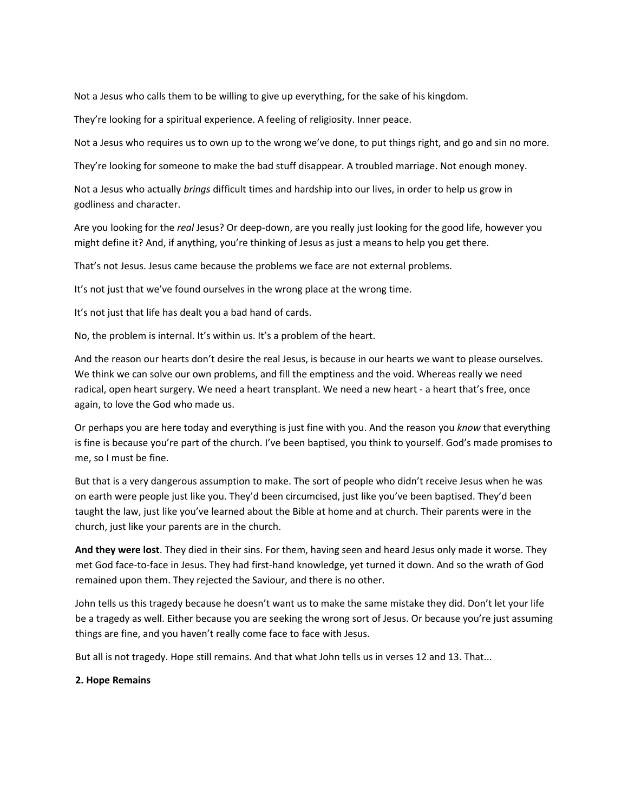Not a Jesus who calls them to be willing to give up everything, for the sake of his kingdom.

They're looking for a spiritual experience. A feeling of religiosity. Inner peace.

Not a Jesus who requires us to own up to the wrong we've done, to put things right, and go and sin no more.

They're looking for someone to make the bad stuff disappear. A troubled marriage. Not enough money.

Not a Jesus who actually *brings* difficult times and hardship into our lives, in order to help us grow in godliness and character.

Are you looking for the *real* Jesus? Or deep‐down, are you really just looking for the good life, however you might define it? And, if anything, you're thinking of Jesus as just a means to help you get there.

That's not Jesus. Jesus came because the problems we face are not external problems.

It's not just that we've found ourselves in the wrong place at the wrong time.

It's not just that life has dealt you a bad hand of cards.

No, the problem is internal. It's within us. It's a problem of the heart.

And the reason our hearts don't desire the real Jesus, is because in our hearts we want to please ourselves. We think we can solve our own problems, and fill the emptiness and the void. Whereas really we need radical, open heart surgery. We need a heart transplant. We need a new heart - a heart that's free, once again, to love the God who made us.

Or perhaps you are here today and everything is just fine with you. And the reason you *know* that everything is fine is because you're part of the church. I've been baptised, you think to yourself. God's made promises to me, so I must be fine.

But that is a very dangerous assumption to make. The sort of people who didn't receive Jesus when he was on earth were people just like you. They'd been circumcised, just like you've been baptised. They'd been taught the law, just like you've learned about the Bible at home and at church. Their parents were in the church, just like your parents are in the church.

**And they were lost**. They died in their sins. For them, having seen and heard Jesus only made it worse. They met God face‐to‐face in Jesus. They had first‐hand knowledge, yet turned it down. And so the wrath of God remained upon them. They rejected the Saviour, and there is no other.

John tells us this tragedy because he doesn't want us to make the same mistake they did. Don't let your life be a tragedy as well. Either because you are seeking the wrong sort of Jesus. Or because you're just assuming things are fine, and you haven't really come face to face with Jesus.

But all is not tragedy. Hope still remains. And that what John tells us in verses 12 and 13. That...

## **2. Hope Remains**